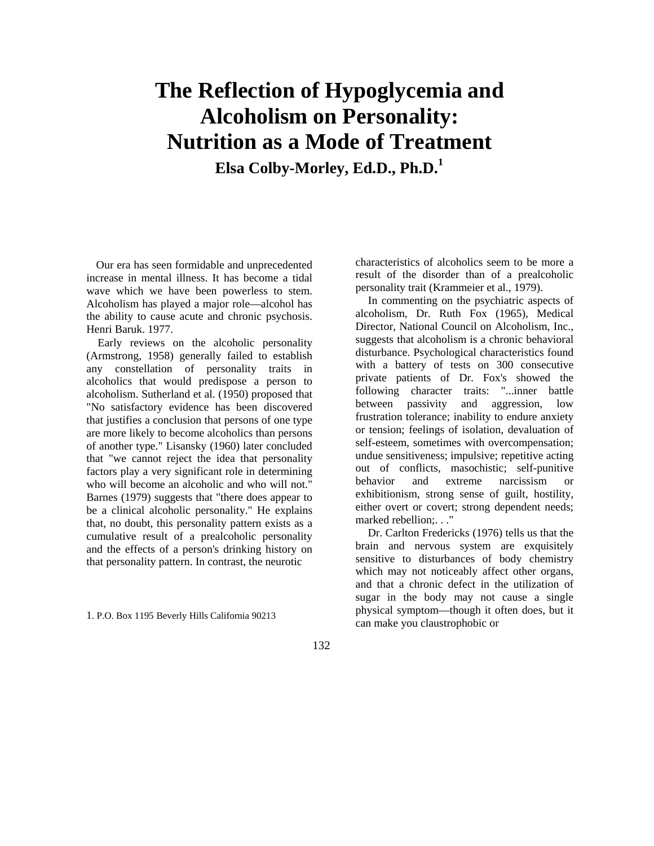## **The Reflection of Hypoglycemia and Alcoholism on Personality: Nutrition as a Mode of Treatment**

**Elsa Colby-Morley, Ed.D., Ph.D.<sup>1</sup>**

Our era has seen formidable and unprecedented increase in mental illness. It has become a tidal wave which we have been powerless to stem. Alcoholism has played a major role—alcohol has the ability to cause acute and chronic psychosis. Henri Baruk. 1977.

Early reviews on the alcoholic personality (Armstrong, 1958) generally failed to establish any constellation of personality traits in alcoholics that would predispose a person to alcoholism. Sutherland et al. (1950) proposed that "No satisfactory evidence has been discovered that justifies a conclusion that persons of one type are more likely to become alcoholics than persons of another type." Lisansky (1960) later concluded that "we cannot reject the idea that personality factors play a very significant role in determining who will become an alcoholic and who will not." Barnes (1979) suggests that "there does appear to be a clinical alcoholic personality." He explains that, no doubt, this personality pattern exists as a cumulative result of a prealcoholic personality and the effects of a person's drinking history on that personality pattern. In contrast, the neurotic

1. P.O. Box 1195 Beverly Hills California 90213

characteristics of alcoholics seem to be more a result of the disorder than of a prealcoholic personality trait (Krammeier et al., 1979).

In commenting on the psychiatric aspects of alcoholism, Dr. Ruth Fox (1965), Medical Director, National Council on Alcoholism, Inc., suggests that alcoholism is a chronic behavioral disturbance. Psychological characteristics found with a battery of tests on 300 consecutive private patients of Dr. Fox's showed the following character traits: "...inner battle between passivity and aggression, low frustration tolerance; inability to endure anxiety or tension; feelings of isolation, devaluation of self-esteem, sometimes with overcompensation; undue sensitiveness; impulsive; repetitive acting out of conflicts, masochistic; self-punitive behavior and extreme narcissism or exhibitionism, strong sense of guilt, hostility, either overt or covert; strong dependent needs; marked rebellion;. . ."

Dr. Carlton Fredericks (1976) tells us that the brain and nervous system are exquisitely sensitive to disturbances of body chemistry which may not noticeably affect other organs, and that a chronic defect in the utilization of sugar in the body may not cause a single physical symptom—though it often does, but it can make you claustrophobic or

132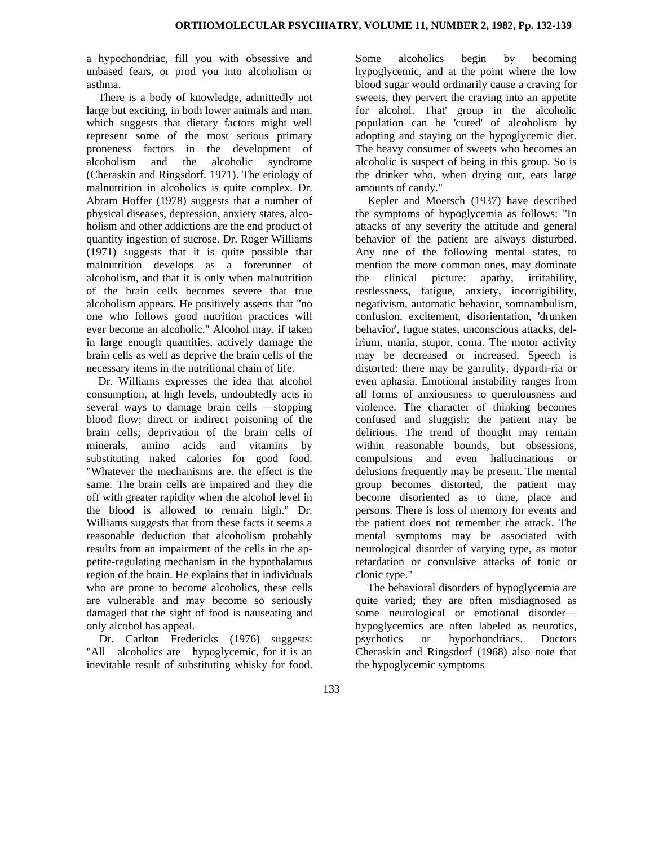a hypochondriac, fill you with obsessive and unbased fears, or prod you into alcoholism or asthma.

There is a body of knowledge, admittedly not large but exciting, in both lower animals and man. which suggests that dietary factors might well represent some of the most serious primary proneness factors in the development of alcoholism and the alcoholic syndrome (Cheraskin and Ringsdorf. 1971). The etiology of malnutrition in alcoholics is quite complex. Dr. Abram Hoffer (1978) suggests that a number of physical diseases, depression, anxiety states, alcoholism and other addictions are the end product of quantity ingestion of sucrose. Dr. Roger Williams (1971) suggests that it is quite possible that malnutrition develops as a forerunner of alcoholism, and that it is only when malnutrition of the brain cells becomes severe that true alcoholism appears. He positively asserts that "no one who follows good nutrition practices will ever become an alcoholic." Alcohol may, if taken in large enough quantities, actively damage the brain cells as well as deprive the brain cells of the necessary items in the nutritional chain of life.

Dr. Williams expresses the idea that alcohol consumption, at high levels, undoubtedly acts in several ways to damage brain cells —stopping blood flow; direct or indirect poisoning of the brain cells; deprivation of the brain cells of minerals, amino acids and vitamins by substituting naked calories for good food. "Whatever the mechanisms are. the effect is the same. The brain cells are impaired and they die off with greater rapidity when the alcohol level in the blood is allowed to remain high." Dr. Williams suggests that from these facts it seems a reasonable deduction that alcoholism probably results from an impairment of the cells in the appetite-regulating mechanism in the hypothalamus region of the brain. He explains that in individuals who are prone to become alcoholics, these cells are vulnerable and may become so seriously damaged that the sight of food is nauseating and only alcohol has appeal.

Dr. Carlton Fredericks (1976) suggests: "All alcoholics are hypoglycemic, for it is an inevitable result of substituting whisky for food.

Some alcoholics begin by becoming hypoglycemic, and at the point where the low blood sugar would ordinarily cause a craving for sweets, they pervert the craving into an appetite for alcohol. That' group in the alcoholic population can be 'cured' of alcoholism by adopting and staying on the hypoglycemic diet. The heavy consumer of sweets who becomes an alcoholic is suspect of being in this group. So is the drinker who, when drying out, eats large amounts of candy."

Kepler and Moersch (1937) have described the symptoms of hypoglycemia as follows: "In attacks of any severity the attitude and general behavior of the patient are always disturbed. Any one of the following mental states, to mention the more common ones, may dominate the clinical picture: apathy, irritability, restlessness, fatigue, anxiety, incorrigibility, negativism, automatic behavior, somnambulism, confusion, excitement, disorientation, 'drunken behavior', fugue states, unconscious attacks, delirium, mania, stupor, coma. The motor activity may be decreased or increased. Speech is distorted: there may be garrulity, dyparth-ria or even aphasia. Emotional instability ranges from all forms of anxiousness to querulousness and violence. The character of thinking becomes confused and sluggish: the patient may be delirious. The trend of thought may remain within reasonable bounds, but obsessions, compulsions and even hallucinations or delusions frequently may be present. The mental group becomes distorted, the patient may become disoriented as to time, place and persons. There is loss of memory for events and the patient does not remember the attack. The mental symptoms may be associated with neurological disorder of varying type, as motor retardation or convulsive attacks of tonic or clonic type."

The behavioral disorders of hypoglycemia are quite varied; they are often misdiagnosed as some neurological or emotional disorder hypoglycemics are often labeled as neurotics, psychotics or hypochondriacs. Doctors Cheraskin and Ringsdorf (1968) also note that the hypoglycemic symptoms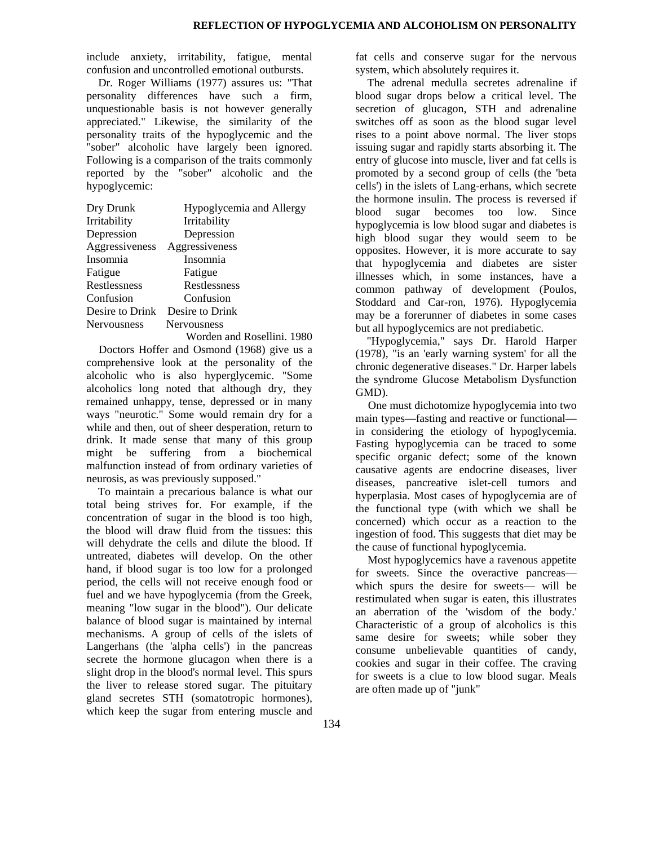include anxiety, irritability, fatigue, mental confusion and uncontrolled emotional outbursts.

Dr. Roger Williams (1977) assures us: "That personality differences have such a firm, unquestionable basis is not however generally appreciated." Likewise, the similarity of the personality traits of the hypoglycemic and the "sober" alcoholic have largely been ignored. Following is a comparison of the traits commonly reported by the "sober" alcoholic and the hypoglycemic:

| Dry Drunk          | Hypoglycemia and Allergy   |
|--------------------|----------------------------|
| Irritability       | Irritability               |
| Depression         | Depression                 |
| Aggressiveness     | Aggressiveness             |
| Insomnia           | Insomnia                   |
| Fatigue            | Fatigue                    |
| Restlessness       | Restlessness               |
| Confusion          | Confusion                  |
| Desire to Drink    | Desire to Drink            |
| <b>Nervousness</b> | Nervousness                |
|                    | Worden and Rosellini. 1980 |

Doctors Hoffer and Osmond (1968) give us a comprehensive look at the personality of the alcoholic who is also hyperglycemic. "Some alcoholics long noted that although dry, they remained unhappy, tense, depressed or in many ways "neurotic." Some would remain dry for a while and then, out of sheer desperation, return to drink. It made sense that many of this group might be suffering from a biochemical malfunction instead of from ordinary varieties of neurosis, as was previously supposed."

To maintain a precarious balance is what our total being strives for. For example, if the concentration of sugar in the blood is too high, the blood will draw fluid from the tissues: this will dehydrate the cells and dilute the blood. If untreated, diabetes will develop. On the other hand, if blood sugar is too low for a prolonged period, the cells will not receive enough food or fuel and we have hypoglycemia (from the Greek, meaning "low sugar in the blood"). Our delicate balance of blood sugar is maintained by internal mechanisms. A group of cells of the islets of Langerhans (the 'alpha cells') in the pancreas secrete the hormone glucagon when there is a slight drop in the blood's normal level. This spurs the liver to release stored sugar. The pituitary gland secretes STH (somatotropic hormones), which keep the sugar from entering muscle and fat cells and conserve sugar for the nervous system, which absolutely requires it.

The adrenal medulla secretes adrenaline if blood sugar drops below a critical level. The secretion of glucagon, STH and adrenaline switches off as soon as the blood sugar level rises to a point above normal. The liver stops issuing sugar and rapidly starts absorbing it. The entry of glucose into muscle, liver and fat cells is promoted by a second group of cells (the 'beta cells') in the islets of Lang-erhans, which secrete the hormone insulin. The process is reversed if blood sugar becomes too low. Since hypoglycemia is low blood sugar and diabetes is high blood sugar they would seem to be opposites. However, it is more accurate to say that hypoglycemia and diabetes are sister illnesses which, in some instances, have a common pathway of development (Poulos, Stoddard and Car-ron, 1976). Hypoglycemia may be a forerunner of diabetes in some cases but all hypoglycemics are not prediabetic.

"Hypoglycemia," says Dr. Harold Harper (1978), "is an 'early warning system' for all the chronic degenerative diseases." Dr. Harper labels the syndrome Glucose Metabolism Dysfunction GMD).

One must dichotomize hypoglycemia into two main types—fasting and reactive or functional in considering the etiology of hypoglycemia. Fasting hypoglycemia can be traced to some specific organic defect; some of the known causative agents are endocrine diseases, liver diseases, pancreative islet-cell tumors and hyperplasia. Most cases of hypoglycemia are of the functional type (with which we shall be concerned) which occur as a reaction to the ingestion of food. This suggests that diet may be the cause of functional hypoglycemia.

Most hypoglycemics have a ravenous appetite for sweets. Since the overactive pancreas which spurs the desire for sweets— will be restimulated when sugar is eaten, this illustrates an aberration of the 'wisdom of the body.' Characteristic of a group of alcoholics is this same desire for sweets; while sober they consume unbelievable quantities of candy, cookies and sugar in their coffee. The craving for sweets is a clue to low blood sugar. Meals are often made up of "junk"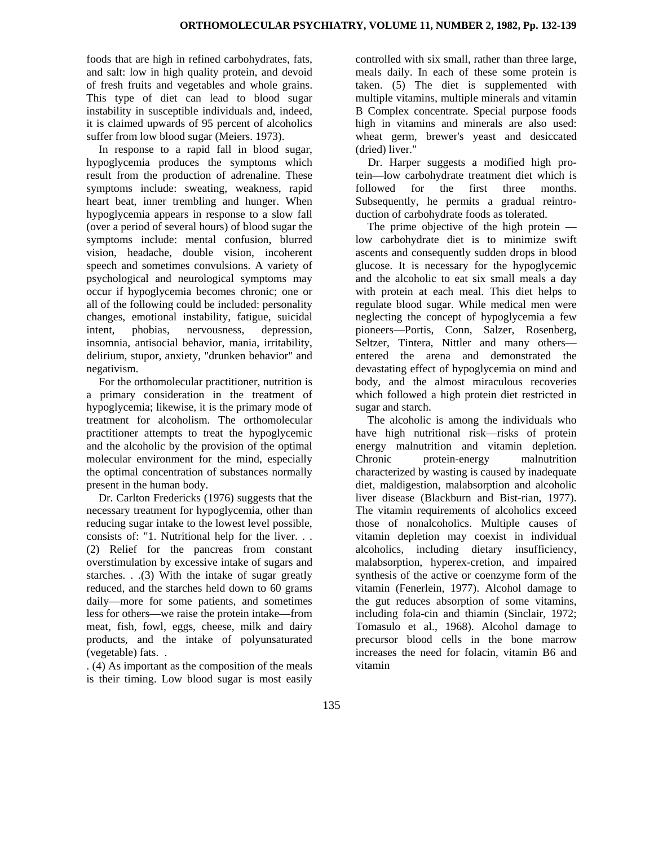foods that are high in refined carbohydrates, fats, and salt: low in high quality protein, and devoid of fresh fruits and vegetables and whole grains. This type of diet can lead to blood sugar instability in susceptible individuals and, indeed, it is claimed upwards of 95 percent of alcoholics suffer from low blood sugar (Meiers. 1973).

In response to a rapid fall in blood sugar, hypoglycemia produces the symptoms which result from the production of adrenaline. These symptoms include: sweating, weakness, rapid heart beat, inner trembling and hunger. When hypoglycemia appears in response to a slow fall (over a period of several hours) of blood sugar the symptoms include: mental confusion, blurred vision, headache, double vision, incoherent speech and sometimes convulsions. A variety of psychological and neurological symptoms may occur if hypoglycemia becomes chronic; one or all of the following could be included: personality changes, emotional instability, fatigue, suicidal intent, phobias, nervousness, depression, insomnia, antisocial behavior, mania, irritability, delirium, stupor, anxiety, "drunken behavior" and negativism.

For the orthomolecular practitioner, nutrition is a primary consideration in the treatment of hypoglycemia; likewise, it is the primary mode of treatment for alcoholism. The orthomolecular practitioner attempts to treat the hypoglycemic and the alcoholic by the provision of the optimal molecular environment for the mind, especially the optimal concentration of substances normally present in the human body.

Dr. Carlton Fredericks (1976) suggests that the necessary treatment for hypoglycemia, other than reducing sugar intake to the lowest level possible, consists of: "1. Nutritional help for the liver. . . (2) Relief for the pancreas from constant overstimulation by excessive intake of sugars and starches. . .(3) With the intake of sugar greatly reduced, and the starches held down to 60 grams daily—more for some patients, and sometimes less for others—we raise the protein intake—from meat, fish, fowl, eggs, cheese, milk and dairy products, and the intake of polyunsaturated (vegetable) fats. .

. (4) As important as the composition of the meals is their timing. Low blood sugar is most easily controlled with six small, rather than three large, meals daily. In each of these some protein is taken. (5) The diet is supplemented with multiple vitamins, multiple minerals and vitamin B Complex concentrate. Special purpose foods high in vitamins and minerals are also used: wheat germ, brewer's yeast and desiccated (dried) liver."

Dr. Harper suggests a modified high protein—low carbohydrate treatment diet which is followed for the first three months. Subsequently, he permits a gradual reintroduction of carbohydrate foods as tolerated.

The prime objective of the high protein low carbohydrate diet is to minimize swift ascents and consequently sudden drops in blood glucose. It is necessary for the hypoglycemic and the alcoholic to eat six small meals a day with protein at each meal. This diet helps to regulate blood sugar. While medical men were neglecting the concept of hypoglycemia a few pioneers—Portis, Conn, Salzer, Rosenberg, Seltzer, Tintera, Nittler and many others entered the arena and demonstrated the devastating effect of hypoglycemia on mind and body, and the almost miraculous recoveries which followed a high protein diet restricted in sugar and starch.

The alcoholic is among the individuals who have high nutritional risk—risks of protein energy malnutrition and vitamin depletion. Chronic protein-energy malnutrition characterized by wasting is caused by inadequate diet, maldigestion, malabsorption and alcoholic liver disease (Blackburn and Bist-rian, 1977). The vitamin requirements of alcoholics exceed those of nonalcoholics. Multiple causes of vitamin depletion may coexist in individual alcoholics, including dietary insufficiency, malabsorption, hyperex-cretion, and impaired synthesis of the active or coenzyme form of the vitamin (Fenerlein, 1977). Alcohol damage to the gut reduces absorption of some vitamins, including fola-cin and thiamin (Sinclair, 1972; Tomasulo et al., 1968). Alcohol damage to precursor blood cells in the bone marrow increases the need for folacin, vitamin B6 and vitamin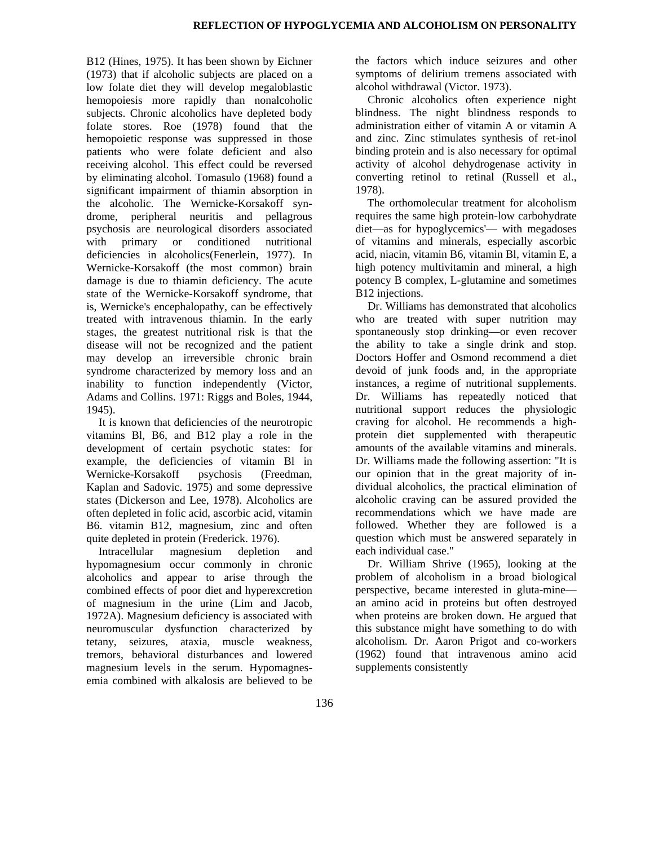B12 (Hines, 1975). It has been shown by Eichner (1973) that if alcoholic subjects are placed on a low folate diet they will develop megaloblastic hemopoiesis more rapidly than nonalcoholic subjects. Chronic alcoholics have depleted body folate stores. Roe (1978) found that the hemopoietic response was suppressed in those patients who were folate deficient and also receiving alcohol. This effect could be reversed by eliminating alcohol. Tomasulo (1968) found a significant impairment of thiamin absorption in the alcoholic. The Wernicke-Korsakoff syndrome, peripheral neuritis and pellagrous psychosis are neurological disorders associated with primary or conditioned nutritional deficiencies in alcoholics(Fenerlein, 1977). In Wernicke-Korsakoff (the most common) brain damage is due to thiamin deficiency. The acute state of the Wernicke-Korsakoff syndrome, that is, Wernicke's encephalopathy, can be effectively treated with intravenous thiamin. In the early stages, the greatest nutritional risk is that the disease will not be recognized and the patient may develop an irreversible chronic brain syndrome characterized by memory loss and an inability to function independently (Victor, Adams and Collins. 1971: Riggs and Boles, 1944, 1945).

It is known that deficiencies of the neurotropic vitamins Bl, B6, and B12 play a role in the development of certain psychotic states: for example, the deficiencies of vitamin Bl in Wernicke-Korsakoff psychosis (Freedman, Kaplan and Sadovic. 1975) and some depressive states (Dickerson and Lee, 1978). Alcoholics are often depleted in folic acid, ascorbic acid, vitamin B6. vitamin B12, magnesium, zinc and often quite depleted in protein (Frederick. 1976).

Intracellular magnesium depletion and hypomagnesium occur commonly in chronic alcoholics and appear to arise through the combined effects of poor diet and hyperexcretion of magnesium in the urine (Lim and Jacob, 1972A). Magnesium deficiency is associated with neuromuscular dysfunction characterized by tetany, seizures, ataxia, muscle weakness, tremors, behavioral disturbances and lowered magnesium levels in the serum. Hypomagnesemia combined with alkalosis are believed to be the factors which induce seizures and other symptoms of delirium tremens associated with alcohol withdrawal (Victor. 1973).

Chronic alcoholics often experience night blindness. The night blindness responds to administration either of vitamin A or vitamin A and zinc. Zinc stimulates synthesis of ret-inol binding protein and is also necessary for optimal activity of alcohol dehydrogenase activity in converting retinol to retinal (Russell et al., 1978).

The orthomolecular treatment for alcoholism requires the same high protein-low carbohydrate diet—as for hypoglycemics'— with megadoses of vitamins and minerals, especially ascorbic acid, niacin, vitamin B6, vitamin Bl, vitamin E, a high potency multivitamin and mineral, a high potency B complex, L-glutamine and sometimes B12 injections.

Dr. Williams has demonstrated that alcoholics who are treated with super nutrition may spontaneously stop drinking—or even recover the ability to take a single drink and stop. Doctors Hoffer and Osmond recommend a diet devoid of junk foods and, in the appropriate instances, a regime of nutritional supplements. Dr. Williams has repeatedly noticed that nutritional support reduces the physiologic craving for alcohol. He recommends a highprotein diet supplemented with therapeutic amounts of the available vitamins and minerals. Dr. Williams made the following assertion: "It is our opinion that in the great majority of individual alcoholics, the practical elimination of alcoholic craving can be assured provided the recommendations which we have made are followed. Whether they are followed is a question which must be answered separately in each individual case."

Dr. William Shrive (1965), looking at the problem of alcoholism in a broad biological perspective, became interested in gluta-mine an amino acid in proteins but often destroyed when proteins are broken down. He argued that this substance might have something to do with alcoholism. Dr. Aaron Prigot and co-workers (1962) found that intravenous amino acid supplements consistently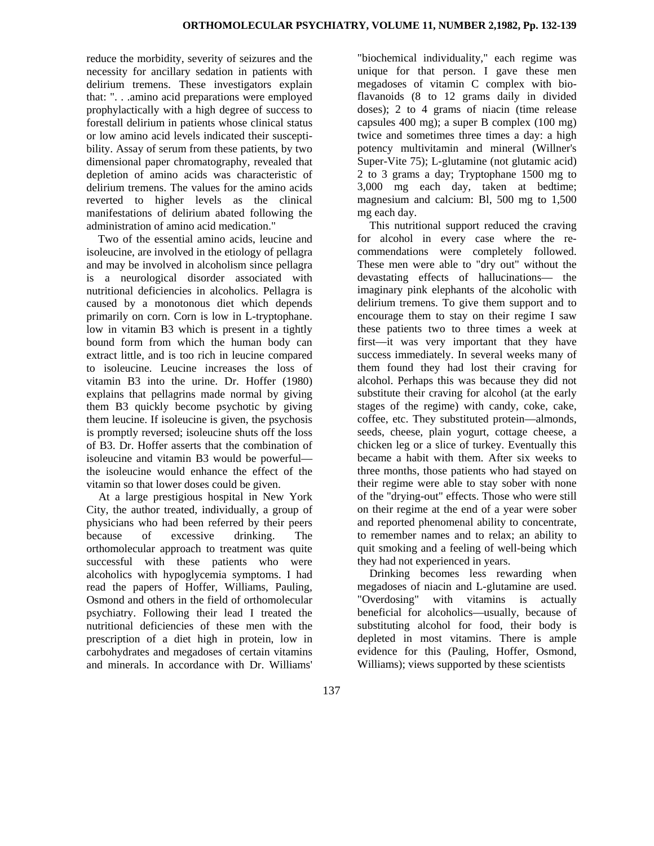reduce the morbidity, severity of seizures and the necessity for ancillary sedation in patients with delirium tremens. These investigators explain that: ". . .amino acid preparations were employed prophylactically with a high degree of success to forestall delirium in patients whose clinical status or low amino acid levels indicated their susceptibility. Assay of serum from these patients, by two dimensional paper chromatography, revealed that depletion of amino acids was characteristic of delirium tremens. The values for the amino acids reverted to higher levels as the clinical manifestations of delirium abated following the administration of amino acid medication."

Two of the essential amino acids, leucine and isoleucine, are involved in the etiology of pellagra and may be involved in alcoholism since pellagra is a neurological disorder associated with nutritional deficiencies in alcoholics. Pellagra is caused by a monotonous diet which depends primarily on corn. Corn is low in L-tryptophane. low in vitamin B3 which is present in a tightly bound form from which the human body can extract little, and is too rich in leucine compared to isoleucine. Leucine increases the loss of vitamin B3 into the urine. Dr. Hoffer (1980) explains that pellagrins made normal by giving them B3 quickly become psychotic by giving them leucine. If isoleucine is given, the psychosis is promptly reversed; isoleucine shuts off the loss of B3. Dr. Hoffer asserts that the combination of isoleucine and vitamin B3 would be powerful the isoleucine would enhance the effect of the vitamin so that lower doses could be given.

At a large prestigious hospital in New York City, the author treated, individually, a group of physicians who had been referred by their peers because of excessive drinking. The orthomolecular approach to treatment was quite successful with these patients who were alcoholics with hypoglycemia symptoms. I had read the papers of Hoffer, Williams, Pauling, Osmond and others in the field of orthomolecular psychiatry. Following their lead I treated the nutritional deficiencies of these men with the prescription of a diet high in protein, low in carbohydrates and megadoses of certain vitamins and minerals. In accordance with Dr. Williams'

"biochemical individuality," each regime was unique for that person. I gave these men megadoses of vitamin C complex with bioflavanoids (8 to 12 grams daily in divided doses); 2 to 4 grams of niacin (time release capsules 400 mg); a super B complex (100 mg) twice and sometimes three times a day: a high potency multivitamin and mineral (Willner's Super-Vite 75); L-glutamine (not glutamic acid) 2 to 3 grams a day; Tryptophane 1500 mg to 3,000 mg each day, taken at bedtime; magnesium and calcium: Bl, 500 mg to 1,500 mg each day.

This nutritional support reduced the craving for alcohol in every case where the recommendations were completely followed. These men were able to "dry out" without the devastating effects of hallucinations— the imaginary pink elephants of the alcoholic with delirium tremens. To give them support and to encourage them to stay on their regime I saw these patients two to three times a week at first—it was very important that they have success immediately. In several weeks many of them found they had lost their craving for alcohol. Perhaps this was because they did not substitute their craving for alcohol (at the early stages of the regime) with candy, coke, cake, coffee, etc. They substituted protein—almonds, seeds, cheese, plain yogurt, cottage cheese, a chicken leg or a slice of turkey. Eventually this became a habit with them. After six weeks to three months, those patients who had stayed on their regime were able to stay sober with none of the "drying-out" effects. Those who were still on their regime at the end of a year were sober and reported phenomenal ability to concentrate, to remember names and to relax; an ability to quit smoking and a feeling of well-being which they had not experienced in years.

Drinking becomes less rewarding when megadoses of niacin and L-glutamine are used. "Overdosing" with vitamins is actually beneficial for alcoholics—usually, because of substituting alcohol for food, their body is depleted in most vitamins. There is ample evidence for this (Pauling, Hoffer, Osmond, Williams); views supported by these scientists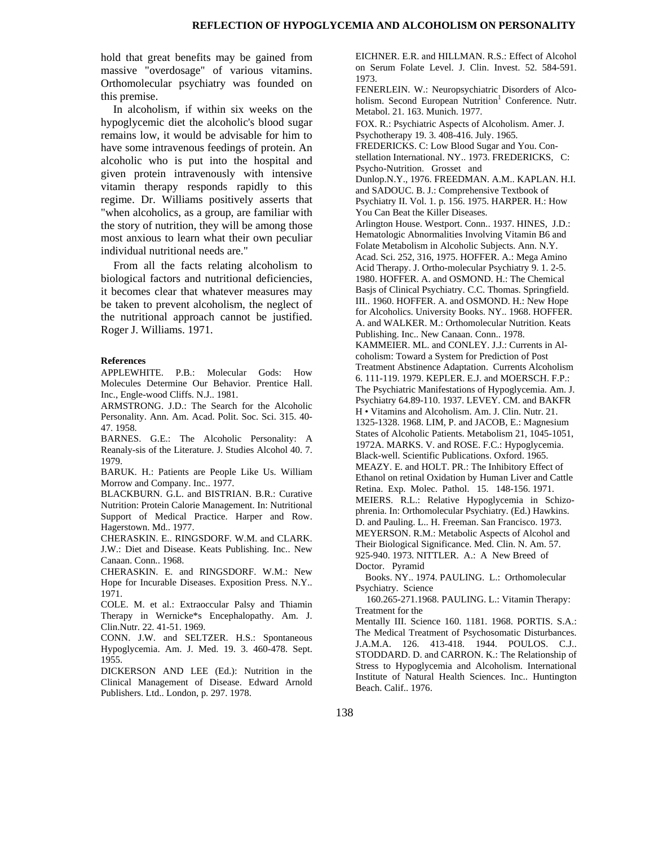hold that great benefits may be gained from massive "overdosage" of various vitamins. Orthomolecular psychiatry was founded on this premise.

In alcoholism, if within six weeks on the hypoglycemic diet the alcoholic's blood sugar remains low, it would be advisable for him to have some intravenous feedings of protein. An alcoholic who is put into the hospital and given protein intravenously with intensive vitamin therapy responds rapidly to this regime. Dr. Williams positively asserts that "when alcoholics, as a group, are familiar with the story of nutrition, they will be among those most anxious to learn what their own peculiar individual nutritional needs are."

From all the facts relating alcoholism to biological factors and nutritional deficiencies, it becomes clear that whatever measures may be taken to prevent alcoholism, the neglect of the nutritional approach cannot be justified. Roger J. Williams. 1971.

## **References**

APPLEWHITE. P.B.: Molecular Gods: How Molecules Determine Our Behavior. Prentice Hall. Inc., Engle-wood Cliffs. N.J.. 1981.

ARMSTRONG. J.D.: The Search for the Alcoholic Personality. Ann. Am. Acad. Polit. Soc. Sci. 315. 40- 47. 1958.

BARNES. G.E.: The Alcoholic Personality: A Reanaly-sis of the Literature. J. Studies Alcohol 40. 7. 1979.

BARUK. H.: Patients are People Like Us. William Morrow and Company. Inc.. 1977.

BLACKBURN. G.L. and BISTRIAN. B.R.: Curative Nutrition: Protein Calorie Management. In: Nutritional Support of Medical Practice. Harper and Row. Hagerstown. Md.. 1977.

CHERASKIN. E.. RINGSDORF. W.M. and CLARK. J.W.: Diet and Disease. Keats Publishing. Inc.. New Canaan. Conn.. 1968.

CHERASKIN. E. and RINGSDORF. W.M.: New Hope for Incurable Diseases. Exposition Press. N.Y.. 1971.

COLE. M. et al.: Extraoccular Palsy and Thiamin Therapy in Wernicke\*s Encephalopathy. Am. J. Clin.Nutr. 22. 41-51. 1969.

CONN. J.W. and SELTZER. H.S.: Spontaneous Hypoglycemia. Am. J. Med. 19. 3. 460-478. Sept. 1955.

DICKERSON AND LEE (Ed.): Nutrition in the Clinical Management of Disease. Edward Arnold Publishers. Ltd.. London, p. 297. 1978.

EICHNER. E.R. and HILLMAN. R.S.: Effect of Alcohol on Serum Folate Level. J. Clin. Invest. 52. 584-591. 1973.

FENERLEIN. W.: Neuropsychiatric Disorders of Alcoholism. Second European Nutrition<sup>1</sup> Conference. Nutr. Metabol. 21. 163. Munich. 1977.

FOX. R.: Psychiatric Aspects of Alcoholism. Amer. J. Psychotherapy 19. 3. 408-416. July. 1965.

FREDERICKS. C: Low Blood Sugar and You. Constellation International. NY.. 1973. FREDERICKS, C: Psycho-Nutrition. Grosset and

Dunlop.N.Y., 1976. FREEDMAN. A.M.. KAPLAN. H.I. and SADOUC. B. J.: Comprehensive Textbook of Psychiatry II. Vol. 1. p. 156. 1975. HARPER. H.: How You Can Beat the Killer Diseases.

Arlington House. Westport. Conn.. 1937. HINES, J.D.: Hematologic Abnormalities Involving Vitamin B6 and Folate Metabolism in Alcoholic Subjects. Ann. N.Y. Acad. Sci. 252, 316, 1975. HOFFER. A.: Mega Amino Acid Therapy. J. Ortho-molecular Psychiatry 9. 1. 2-5. 1980. HOFFER. A. and OSMOND. H.: The Chemical Basjs of Clinical Psychiatry. C.C. Thomas. Springfield. III.. 1960. HOFFER. A. and OSMOND. H.: New Hope for Alcoholics. University Books. NY.. 1968. HOFFER. A. and WALKER. M.: Orthomolecular Nutrition. Keats Publishing. Inc.. New Canaan. Conn.. 1978. KAMMEIER. ML. and CONLEY. J.J.: Currents in Alcoholism: Toward a System for Prediction of Post Treatment Abstinence Adaptation. Currents Alcoholism 6. 111-119. 1979. KEPLER. E.J. and MOERSCH. F.P.: The Psychiatric Manifestations of Hypoglycemia. Am. J. Psychiatry 64.89-110. 1937. LEVEY. CM. and BAKFR H • Vitamins and Alcoholism. Am. J. Clin. Nutr. 21. 1325-1328. 1968. LIM, P. and JACOB, E.: Magnesium States of Alcoholic Patients. Metabolism 21, 1045-1051, 1972A. MARKS. V. and ROSE. F.C.: Hypoglycemia. Black-well. Scientific Publications. Oxford. 1965. MEAZY. E. and HOLT. PR.: The Inhibitory Effect of Ethanol on retinal Oxidation by Human Liver and Cattle Retina. Exp. Molec. Pathol. 15. 148-156. 1971. MEIERS. R.L.: Relative Hypoglycemia in Schizophrenia. In: Orthomolecular Psychiatry. (Ed.) Hawkins. D. and Pauling. L.. H. Freeman. San Francisco. 1973. MEYERSON. R.M.: Metabolic Aspects of Alcohol and Their Biological Significance. Med. Clin. N. Am. 57. 925-940. 1973. NITTLER. A.: A New Breed of Doctor. Pyramid

Books. NY.. 1974. PAULING. L.: Orthomolecular Psychiatry. Science

160.265-271.1968. PAULING. L.: Vitamin Therapy: Treatment for the

Mentally III. Science 160. 1181. 1968. PORTIS. S.A.: The Medical Treatment of Psychosomatic Disturbances. J.A.M.A. 126. 413-418. 1944. POULOS. C.J.. STODDARD. D. and CARRON. K.: The Relationship of Stress to Hypoglycemia and Alcoholism. International Institute of Natural Health Sciences. Inc.. Huntington Beach. Calif.. 1976.